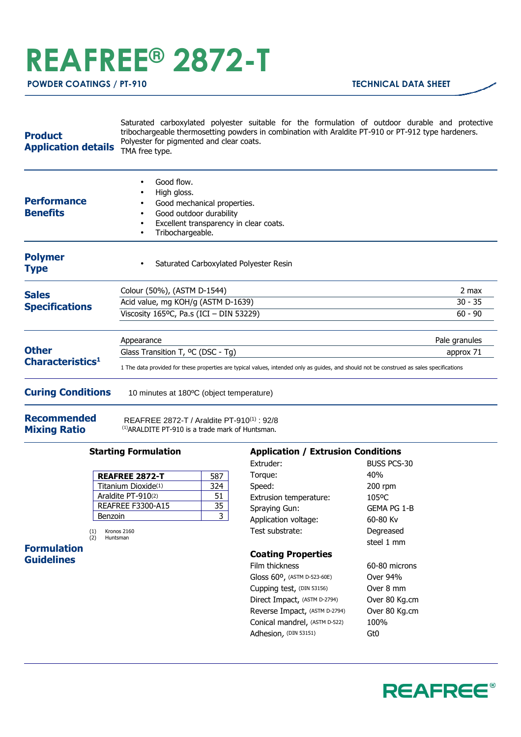## **REAFREE® 2872-T**

|                                                                                                                       |  |  | Saturated carboxylated polyester suitable for the formulation of outdoor durable and protective |  |  |  |  |  |  |
|-----------------------------------------------------------------------------------------------------------------------|--|--|-------------------------------------------------------------------------------------------------|--|--|--|--|--|--|
| tribochargeable thermosetting powders in combination with Araldite PT-910 or PT-912 type hardeners.<br><b>Product</b> |  |  |                                                                                                 |  |  |  |  |  |  |
|                                                                                                                       |  |  | Polyester for pigmented and clear coats.                                                        |  |  |  |  |  |  |

**Application details** Polyester for pigmented and clear coats.<br>Application details  $TMA$  free type TMA free type.

| <b>Performance</b><br><b>Benefits</b>        | Good flow.<br>$\bullet$<br>High gloss.<br>٠<br>Good mechanical properties.<br>Good outdoor durability<br>٠<br>Excellent transparency in clear coats.<br>Tribochargeable. |               |  |  |  |
|----------------------------------------------|--------------------------------------------------------------------------------------------------------------------------------------------------------------------------|---------------|--|--|--|
| <b>Polymer</b><br><b>Type</b>                | Saturated Carboxylated Polyester Resin<br>$\bullet$                                                                                                                      |               |  |  |  |
| <b>Sales</b>                                 | Colour (50%), (ASTM D-1544)                                                                                                                                              | 2 max         |  |  |  |
| <b>Specifications</b>                        | Acid value, mg KOH/g (ASTM D-1639)                                                                                                                                       | $30 - 35$     |  |  |  |
|                                              | Viscosity 165°C, Pa.s (ICI - DIN 53229)                                                                                                                                  | $60 - 90$     |  |  |  |
|                                              | Appearance                                                                                                                                                               | Pale granules |  |  |  |
| <b>Other</b><br>Characteristics <sup>1</sup> | Glass Transition T, <sup>o</sup> C (DSC - Tg)                                                                                                                            | approx 71     |  |  |  |
|                                              | 1 The data provided for these properties are typical values, intended only as guides, and should not be construed as sales specifications                                |               |  |  |  |
| <b>Curing Conditions</b>                     | 10 minutes at 180 °C (object temperature)                                                                                                                                |               |  |  |  |

**Recommended Mixing Ratio**

REAFREE 2872-T / Araldite PT-910(1) : 92/8

(1)ARALDITE PT-910 is a trade mark of Huntsman.

## **Starting Formulation**

| <b>REAFREE 2872-T</b>    | 587 |
|--------------------------|-----|
| Titanium Dioxide(1)      | 324 |
| Araldite PT-910(2)       | 51  |
| <b>REAFREE F3300-A15</b> | 35  |
| Benzoin                  |     |

(1) Kronos 2160 (2) Huntsman

**Formulation Guidelines**

## **Application / Extrusion Conditions**

| Extruder:                     | BUSS PCS-30   |
|-------------------------------|---------------|
| Torque:                       | 40%           |
| Speed:                        | 200 rpm       |
| Extrusion temperature:        | 105°C         |
| Spraying Gun:                 | Gema PG 1-B   |
| Application voltage:          | 60-80 Kv      |
| Test substrate:               | Degreased     |
|                               | steel 1 mm    |
| <b>Coating Properties</b>     |               |
| <b>Film thickness</b>         | 60-80 microns |
| Gloss 60°, (ASTM D-523-60E)   | Over 94%      |
| Cupping test, (DIN 53156)     | Over 8 mm     |
| Direct Impact, (ASTM D-2794)  | Over 80 Kg.cm |
| Reverse Impact, (ASTM D-2794) | Over 80 Kg.cm |
| Conical mandrel, (ASTM D-522) | 100%          |
| Adhesion, (DIN 53151)         | Gt0           |
|                               |               |